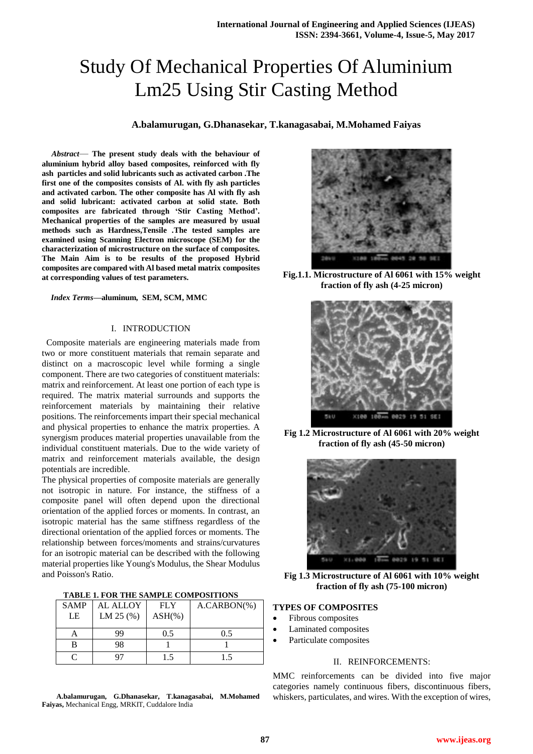# Study Of Mechanical Properties Of Aluminium Lm25 Using Stir Casting Method

### **A.balamurugan, G.Dhanasekar, T.kanagasabai, M.Mohamed Faiyas**

*Abstract*— **The present study deals with the behaviour of aluminium hybrid alloy based composites, reinforced with fly ash particles and solid lubricants such as activated carbon .The first one of the composites consists of Al. with fly ash particles and activated carbon. The other composite has Al with fly ash and solid lubricant: activated carbon at solid state. Both composites are fabricated through 'Stir Casting Method'. Mechanical properties of the samples are measured by usual methods such as Hardness,Tensile .The tested samples are examined using Scanning Electron microscope (SEM) for the characterization of microstructure on the surface of composites. The Main Aim is to be results of the proposed Hybrid composites are compared with Al based metal matrix composites at corresponding values of test parameters.**

#### *Index Terms***—aluminum, SEM, SCM, MMC**

#### I. INTRODUCTION

 Composite materials are engineering materials made from two or more constituent materials that remain separate and distinct on a macroscopic level while forming a single component. There are two categories of constituent materials: matrix and reinforcement. At least one portion of each type is required. The matrix material surrounds and supports the reinforcement materials by maintaining their relative positions. The reinforcements impart their special mechanical and physical properties to enhance the matrix properties. A synergism produces material properties unavailable from the individual constituent materials. Due to the wide variety of matrix and reinforcement materials available, the design potentials are incredible.

The physical properties of composite materials are generally not isotropic in nature. For instance, the stiffness of a composite panel will often depend upon the directional orientation of the applied forces or moments. In contrast, an isotropic material has the same stiffness regardless of the directional orientation of the applied forces or moments. The relationship between forces/moments and strains/curvatures for an isotropic material can be described with the following material properties like Young's Modulus, the Shear Modulus and Poisson's Ratio.

| TABLE 1. FOR THE SAMPLE COMPOSITIONS |  |  |  |  |  |  |  |
|--------------------------------------|--|--|--|--|--|--|--|
|--------------------------------------|--|--|--|--|--|--|--|

| <b>SAMP</b> | <b>AL ALLOY</b> | <b>FLY</b> | $A.CARBON(\%)$ |
|-------------|-----------------|------------|----------------|
| LE          | LM 25 (%)       | $ASH(\% )$ |                |
|             | 99              | 0.5        | 0.5            |
| в           | 98              |            |                |
|             | 97              |            | 1.5            |

 **A.balamurugan, G.Dhanasekar, T.kanagasabai, M.Mohamed Faiyas,** Mechanical Engg, MRKIT, Cuddalore India



**Fig.1.1. Microstructure of Al 6061 with 15% weight fraction of fly ash (4-25 micron)**



**Fig 1.2 Microstructure of Al 6061 with 20% weight fraction of fly ash (45-50 micron)**



**Fig 1.3 Microstructure of Al 6061 with 10% weight fraction of fly ash (75-100 micron)**

### **TYPES OF COMPOSITES**

- Fibrous composites
- Laminated composites
- Particulate composites

#### II. REINFORCEMENTS:

MMC reinforcements can be divided into five major categories namely continuous fibers, discontinuous fibers, whiskers, particulates, and wires. With the exception of wires,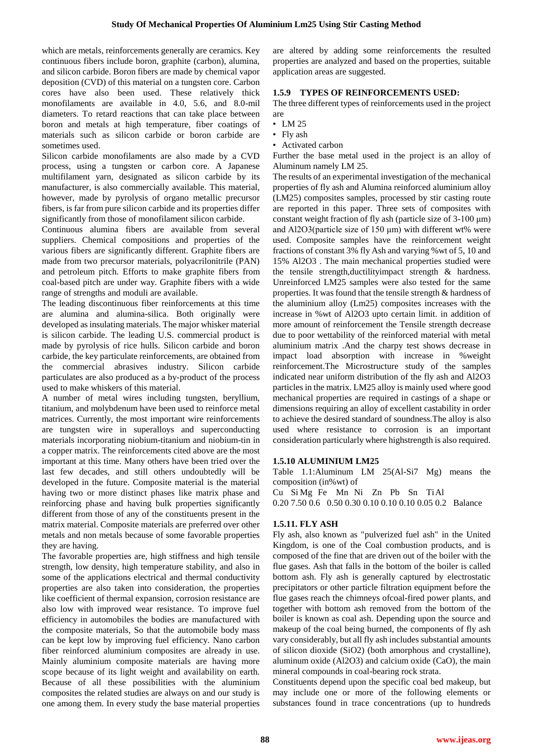which are metals, reinforcements generally are ceramics. Key continuous fibers include boron, graphite (carbon), alumina, and silicon carbide. Boron fibers are made by chemical vapor deposition (CVD) of this material on a tungsten core. Carbon cores have also been used. These relatively thick monofilaments are available in 4.0, 5.6, and 8.0-mil diameters. To retard reactions that can take place between boron and metals at high temperature, fiber coatings of materials such as silicon carbide or boron carbide are sometimes used.

Silicon carbide monofilaments are also made by a CVD process, using a tungsten or carbon core. A Japanese multifilament yarn, designated as silicon carbide by its manufacturer, is also commercially available. This material, however, made by pyrolysis of organo metallic precursor fibers, is far from pure silicon carbide and its properties differ significantly from those of monofilament silicon carbide.

Continuous alumina fibers are available from several suppliers. Chemical compositions and properties of the various fibers are significantly different. Graphite fibers are made from two precursor materials, polyacrilonitrile (PAN) and petroleum pitch. Efforts to make graphite fibers from coal-based pitch are under way. Graphite fibers with a wide range of strengths and moduli are available.

The leading discontinuous fiber reinforcements at this time are alumina and alumina-silica. Both originally were developed as insulating materials. The major whisker material is silicon carbide. The leading U.S. commercial product is made by pyrolysis of rice hulls. Silicon carbide and boron carbide, the key particulate reinforcements, are obtained from the commercial abrasives industry. Silicon carbide particulates are also produced as a by-product of the process used to make whiskers of this material.

A number of metal wires including tungsten, beryllium, titanium, and molybdenum have been used to reinforce metal matrices. Currently, the most important wire reinforcements are tungsten wire in superalloys and superconducting materials incorporating niobium-titanium and niobium-tin in a copper matrix. The reinforcements cited above are the most important at this time. Many others have been tried over the last few decades, and still others undoubtedly will be developed in the future. Composite material is the material having two or more distinct phases like matrix phase and reinforcing phase and having bulk properties significantly different from those of any of the constituents present in the matrix material. Composite materials are preferred over other metals and non metals because of some favorable properties they are having.

The favorable properties are, high stiffness and high tensile strength, low density, high temperature stability, and also in some of the applications electrical and thermal conductivity properties are also taken into consideration, the properties like coefficient of thermal expansion, corrosion resistance are also low with improved wear resistance. To improve fuel efficiency in automobiles the bodies are manufactured with the composite materials, So that the automobile body mass can be kept low by improving fuel efficiency. Nano carbon fiber reinforced aluminium composites are already in use. Mainly aluminium composite materials are having more scope because of its light weight and availability on earth. Because of all these possibilities with the aluminium composites the related studies are always on and our study is one among them. In every study the base material properties are altered by adding some reinforcements the resulted properties are analyzed and based on the properties, suitable application areas are suggested.

#### **1.5.9 TYPES OF REINFORCEMENTS USED:**

The three different types of reinforcements used in the project are

- LM 25
- Fly ash
- Activated carbon

Further the base metal used in the project is an alloy of Aluminum namely LM 25.

The results of an experimental investigation of the mechanical properties of fly ash and Alumina reinforced aluminium alloy (LM25) composites samples, processed by stir casting route are reported in this paper. Three sets of composites with constant weight fraction of fly ash (particle size of 3-100 μm) and Al2O3(particle size of 150 μm) with different wt% were used. Composite samples have the reinforcement weight fractions of constant 3% fly Ash and varying %wt of 5, 10 and 15% Al2O3 . The main mechanical properties studied were the tensile strength,ductilityimpact strength & hardness. Unreinforced LM25 samples were also tested for the same properties. It was found that the tensile strength & hardness of the aluminium alloy (Lm25) composites increases with the increase in %wt of Al2O3 upto certain limit. in addition of more amount of reinforcement the Tensile strength decrease due to poor wettability of the reinforced material with metal aluminium matrix .And the charpy test shows decrease in impact load absorption with increase in %weight reinforcement.The Microstructure study of the samples indicated near uniform distribution of the fly ash and Al2O3 particles in the matrix. LM25 alloy is mainly used where good mechanical properties are required in castings of a shape or dimensions requiring an alloy of excellent castability in order to achieve the desired standard of soundness.The alloy is also used where resistance to corrosion is an important consideration particularly where highstrength is also required.

#### **1.5.10 ALUMINIUM LM25**

Table 1.1:Aluminum LM 25(Al-Si7 Mg) means the composition (in%wt) of

Cu Si Mg Fe Mn Ni Zn Pb Sn TiAl 0.20 7.50 0.6 0.50 0.30 0.10 0.10 0.10 0.05 0.2 Balance

#### **1.5.11. FLY ASH**

Fly ash, also known as "pulverized fuel ash" in the United Kingdom, is one of the Coal combustion products, and is composed of the fine that are driven out of the boiler with the flue gases. Ash that falls in the bottom of the boiler is called bottom ash. Fly ash is generally captured by electrostatic precipitators or other particle filtration equipment before the flue gases reach the chimneys ofcoal-fired power plants, and together with bottom ash removed from the bottom of the boiler is known as coal ash. Depending upon the source and makeup of the coal being burned, the components of fly ash vary considerably, but all fly ash includes substantial amounts of silicon dioxide (SiO2) (both amorphous and crystalline), aluminum oxide (Al2O3) and calcium oxide (CaO), the main mineral compounds in coal-bearing rock strata.

Constituents depend upon the specific coal bed makeup, but may include one or more of the following elements or substances found in trace concentrations (up to hundreds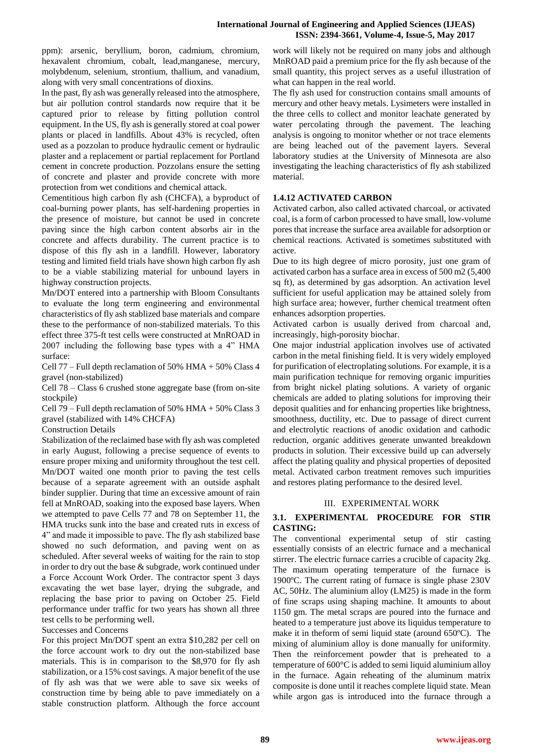ppm): arsenic, beryllium, boron, cadmium, chromium, hexavalent chromium, cobalt, lead,manganese, mercury, molybdenum, selenium, strontium, thallium, and vanadium, along with very small concentrations of dioxins.

In the past, fly ash was generally released into the atmosphere, but air pollution control standards now require that it be captured prior to release by fitting pollution control equipment. In the US, fly ash is generally stored at coal power plants or placed in landfills. About 43% is recycled, often used as a pozzolan to produce hydraulic cement or hydraulic plaster and a replacement or partial replacement for Portland cement in concrete production. Pozzolans ensure the setting of concrete and plaster and provide concrete with more protection from wet conditions and chemical attack.

Cementitious high carbon fly ash (CHCFA), a byproduct of coal-burning power plants, has self-hardening properties in the presence of moisture, but cannot be used in concrete paving since the high carbon content absorbs air in the concrete and affects durability. The current practice is to dispose of this fly ash in a landfill. However, laboratory testing and limited field trials have shown high carbon fly ash to be a viable stabilizing material for unbound layers in highway construction projects.

Mn/DOT entered into a partnership with Bloom Consultants to evaluate the long term engineering and environmental characteristics of fly ash stablized base materials and compare these to the performance of non-stabilized materials. To this effect three 375-ft test cells were constructed at MnROAD in 2007 including the following base types with a 4" HMA surface:

Cell 77 – Full depth reclamation of 50% HMA + 50% Class 4 gravel (non-stabilized)

Cell 78 – Class 6 crushed stone aggregate base (from on-site stockpile)

Cell 79 – Full depth reclamation of 50% HMA + 50% Class 3 gravel (stabilized with 14% CHCFA)

Construction Details

Stabilization of the reclaimed base with fly ash was completed in early August, following a precise sequence of events to ensure proper mixing and uniformity throughout the test cell. Mn/DOT waited one month prior to paving the test cells because of a separate agreement with an outside asphalt binder supplier. During that time an excessive amount of rain fell at MnROAD, soaking into the exposed base layers. When we attempted to pave Cells 77 and 78 on September 11, the HMA trucks sunk into the base and created ruts in excess of 4" and made it impossible to pave. The fly ash stabilized base showed no such deformation, and paving went on as scheduled. After several weeks of waiting for the rain to stop in order to dry out the base & subgrade, work continued under a Force Account Work Order. The contractor spent 3 days excavating the wet base layer, drying the subgrade, and replacing the base prior to paving on October 25. Field performance under traffic for two years has shown all three test cells to be performing well.

Successes and Concerns

For this project Mn/DOT spent an extra \$10,282 per cell on the force account work to dry out the non-stabilized base materials. This is in comparison to the \$8,970 for fly ash stabilization, or a 15% cost savings. A major benefit of the use of fly ash was that we were able to save six weeks of construction time by being able to pave immediately on a stable construction platform. Although the force account

work will likely not be required on many jobs and although MnROAD paid a premium price for the fly ash because of the small quantity, this project serves as a useful illustration of what can happen in the real world.

The fly ash used for construction contains small amounts of mercury and other heavy metals. Lysimeters were installed in the three cells to collect and monitor leachate generated by water percolating through the pavement. The leaching analysis is ongoing to monitor whether or not trace elements are being leached out of the pavement layers. Several laboratory studies at the University of Minnesota are also investigating the leaching characteristics of fly ash stabilized material.

### **1.4.12 ACTIVATED CARBON**

Activated carbon, also called activated charcoal, or activated coal, is a form of carbon processed to have small, low-volume pores that increase the surface area available for adsorption or chemical reactions. Activated is sometimes substituted with active.

Due to its high degree of micro porosity, just one gram of activated carbon has a surface area in excess of 500 m2 (5,400 sq ft), as determined by gas adsorption. An activation level sufficient for useful application may be attained solely from high surface area; however, further chemical treatment often enhances adsorption properties.

Activated carbon is usually derived from charcoal and, increasingly, high-porosity biochar.

One major industrial application involves use of activated carbon in the metal finishing field. It is very widely employed for purification of electroplating solutions. For example, it is a main purification technique for removing organic impurities from bright nickel plating solutions. A variety of organic chemicals are added to plating solutions for improving their deposit qualities and for enhancing properties like brightness, smoothness, ductility, etc. Due to passage of direct current and electrolytic reactions of anodic oxidation and cathodic reduction, organic additives generate unwanted breakdown products in solution. Their excessive build up can adversely affect the plating quality and physical properties of deposited metal. Activated carbon treatment removes such impurities and restores plating performance to the desired level.

#### III. EXPERIMENTAL WORK

### **3.1. EXPERIMENTAL PROCEDURE FOR STIR CASTING:**

The conventional experimental setup of stir casting essentially consists of an electric furnace and a mechanical stirrer. The electric furnace carries a crucible of capacity 2kg. The maximum operating temperature of the furnace is 1900ºC. The current rating of furnace is single phase 230V AC, 50Hz. The aluminium alloy (LM25) is made in the form of fine scraps using shaping machine. It amounts to about 1150 gm. The metal scraps are poured into the furnace and heated to a temperature just above its liquidus temperature to make it in theform of semi liquid state (around 650ºC). The mixing of aluminium alloy is done manually for uniformity. Then the reinforcement powder that is preheated to a temperature of 600°C is added to semi liquid aluminium alloy in the furnace. Again reheating of the aluminum matrix composite is done until it reaches complete liquid state. Mean while argon gas is introduced into the furnace through a